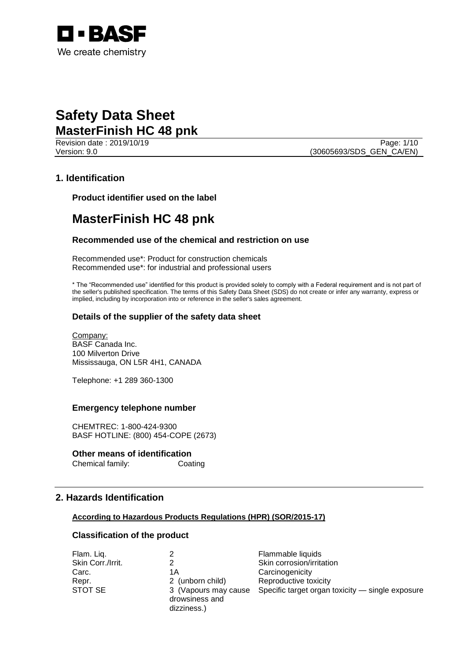

Revision date : 2019/10/19 Page: 1/10 Version: 9.0 (30605693/SDS\_GEN\_CA/EN)

# **1. Identification**

**Product identifier used on the label**

# **MasterFinish HC 48 pnk**

# **Recommended use of the chemical and restriction on use**

Recommended use\*: Product for construction chemicals Recommended use\*: for industrial and professional users

\* The "Recommended use" identified for this product is provided solely to comply with a Federal requirement and is not part of the seller's published specification. The terms of this Safety Data Sheet (SDS) do not create or infer any warranty, express or implied, including by incorporation into or reference in the seller's sales agreement.

# **Details of the supplier of the safety data sheet**

Company: BASF Canada Inc. 100 Milverton Drive Mississauga, ON L5R 4H1, CANADA

Telephone: +1 289 360-1300

### **Emergency telephone number**

CHEMTREC: 1-800-424-9300 BASF HOTLINE: (800) 454-COPE (2673)

# **Other means of identification**

Chemical family: Coating

# **2. Hazards Identification**

### **According to Hazardous Products Regulations (HPR) (SOR/2015-17)**

# **Classification of the product**

| Flam. Liq.        |                                        | Flammable liquids                                |
|-------------------|----------------------------------------|--------------------------------------------------|
| Skin Corr./Irrit. |                                        | Skin corrosion/irritation                        |
| Carc.             | 1Α                                     | Carcinogenicity                                  |
| Repr.             | 2 (unborn child)                       | Reproductive toxicity                            |
| STOT SE           | 3 (Vapours may cause<br>drowsiness and | Specific target organ toxicity — single exposure |
|                   | dizziness.)                            |                                                  |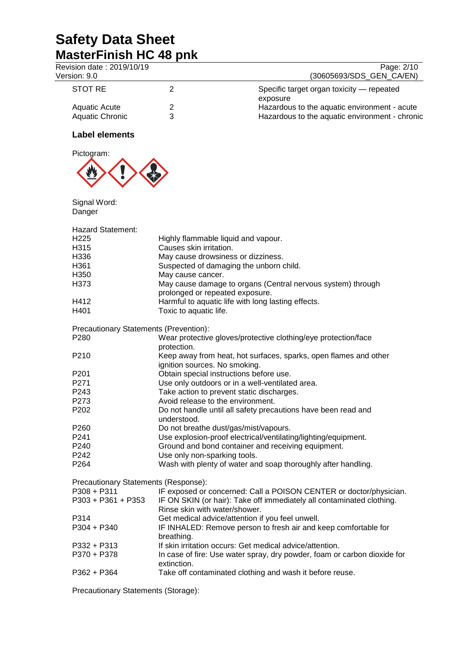| Revision date: 2019/10/19<br>Version: 9.0 |                                                          | Page: 2/10<br>(30605693/SDS_GEN_CA/EN)                                   |
|-------------------------------------------|----------------------------------------------------------|--------------------------------------------------------------------------|
| <b>STOT RE</b>                            | $\overline{2}$                                           | Specific target organ toxicity - repeated                                |
|                                           |                                                          | exposure                                                                 |
| <b>Aquatic Acute</b>                      | 2                                                        | Hazardous to the aquatic environment - acute                             |
| <b>Aquatic Chronic</b>                    | 3                                                        | Hazardous to the aquatic environment - chronic                           |
| <b>Label elements</b>                     |                                                          |                                                                          |
| Pictogram:                                |                                                          |                                                                          |
| Signal Word:<br>Danger                    |                                                          |                                                                          |
| <b>Hazard Statement:</b>                  |                                                          |                                                                          |
| H <sub>225</sub>                          | Highly flammable liquid and vapour.                      |                                                                          |
| H315                                      | Causes skin irritation.                                  |                                                                          |
| H336                                      | May cause drowsiness or dizziness.                       |                                                                          |
| H361                                      | Suspected of damaging the unborn child.                  |                                                                          |
| H350                                      | May cause cancer.                                        |                                                                          |
| H373                                      | prolonged or repeated exposure.                          | May cause damage to organs (Central nervous system) through              |
| H412                                      | Harmful to aquatic life with long lasting effects.       |                                                                          |
| H401                                      | Toxic to aquatic life.                                   |                                                                          |
| Precautionary Statements (Prevention):    |                                                          |                                                                          |
| P280                                      | protection.                                              | Wear protective gloves/protective clothing/eye protection/face           |
| P210                                      | ignition sources. No smoking.                            | Keep away from heat, hot surfaces, sparks, open flames and other         |
| P <sub>201</sub>                          | Obtain special instructions before use.                  |                                                                          |
| P271                                      | Use only outdoors or in a well-ventilated area.          |                                                                          |
| P243                                      | Take action to prevent static discharges.                |                                                                          |
| P273                                      | Avoid release to the environment.                        |                                                                          |
| P <sub>202</sub>                          |                                                          | Do not handle until all safety precautions have been read and            |
|                                           | understood.                                              |                                                                          |
| P260                                      | Do not breathe dust/gas/mist/vapours.                    |                                                                          |
| P241                                      |                                                          | Use explosion-proof electrical/ventilating/lighting/equipment.           |
| P240                                      |                                                          | Ground and bond container and receiving equipment.                       |
| P242                                      | Use only non-sparking tools.                             |                                                                          |
| P264                                      |                                                          | Wash with plenty of water and soap thoroughly after handling.            |
| Precautionary Statements (Response):      |                                                          |                                                                          |
| $P308 + P311$                             |                                                          | IF exposed or concerned: Call a POISON CENTER or doctor/physician.       |
| $P303 + P361 + P353$                      | Rinse skin with water/shower.                            | IF ON SKIN (or hair): Take off immediately all contaminated clothing.    |
| P314                                      | Get medical advice/attention if you feel unwell.         |                                                                          |
| P304 + P340                               | breathing.                                               | IF INHALED: Remove person to fresh air and keep comfortable for          |
| P332 + P313                               | If skin irritation occurs: Get medical advice/attention. |                                                                          |
| P370 + P378                               | extinction.                                              | In case of fire: Use water spray, dry powder, foam or carbon dioxide for |
| P362 + P364                               |                                                          | Take off contaminated clothing and wash it before reuse.                 |
|                                           |                                                          |                                                                          |

Precautionary Statements (Storage):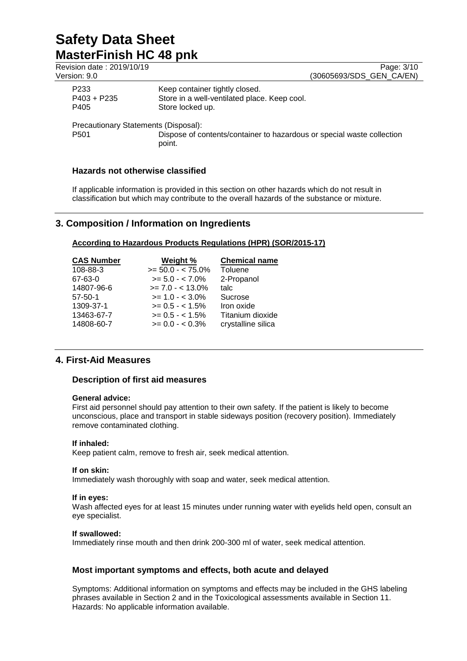| Revision date: 2019/10/19<br>Version: 9.0 |                                                                                                    | Page: 3/10<br>(30605693/SDS GEN CA/EN) |
|-------------------------------------------|----------------------------------------------------------------------------------------------------|----------------------------------------|
| P <sub>233</sub><br>$P403 + P235$<br>P405 | Keep container tightly closed.<br>Store in a well-ventilated place. Keep cool.<br>Store locked up. |                                        |
| Precautionary Statements (Disposal):      |                                                                                                    |                                        |
| P <sub>501</sub>                          | Dispose of contents/container to hazardous or special waste collection<br>point.                   |                                        |

# **Hazards not otherwise classified**

If applicable information is provided in this section on other hazards which do not result in classification but which may contribute to the overall hazards of the substance or mixture.

# **3. Composition / Information on Ingredients**

# **According to Hazardous Products Regulations (HPR) (SOR/2015-17)**

| <b>CAS Number</b> | Weight %             | <b>Chemical name</b> |
|-------------------|----------------------|----------------------|
| 108-88-3          | $>= 50.0 - < 75.0\%$ | Toluene              |
| 67-63-0           | $>= 5.0 - < 7.0\%$   | 2-Propanol           |
| 14807-96-6        | $>= 7.0 - < 13.0\%$  | talc                 |
| $57 - 50 - 1$     | $>= 1.0 - < 3.0\%$   | Sucrose              |
| 1309-37-1         | $>= 0.5 - < 1.5\%$   | Iron oxide           |
| 13463-67-7        | $>= 0.5 - < 1.5\%$   | Titanium dioxide     |
| 14808-60-7        | $>= 0.0 - 0.3\%$     | crystalline silica   |

# **4. First-Aid Measures**

# **Description of first aid measures**

### **General advice:**

First aid personnel should pay attention to their own safety. If the patient is likely to become unconscious, place and transport in stable sideways position (recovery position). Immediately remove contaminated clothing.

### **If inhaled:**

Keep patient calm, remove to fresh air, seek medical attention.

### **If on skin:**

Immediately wash thoroughly with soap and water, seek medical attention.

### **If in eyes:**

Wash affected eyes for at least 15 minutes under running water with eyelids held open, consult an eye specialist.

### **If swallowed:**

Immediately rinse mouth and then drink 200-300 ml of water, seek medical attention.

# **Most important symptoms and effects, both acute and delayed**

Symptoms: Additional information on symptoms and effects may be included in the GHS labeling phrases available in Section 2 and in the Toxicological assessments available in Section 11. Hazards: No applicable information available.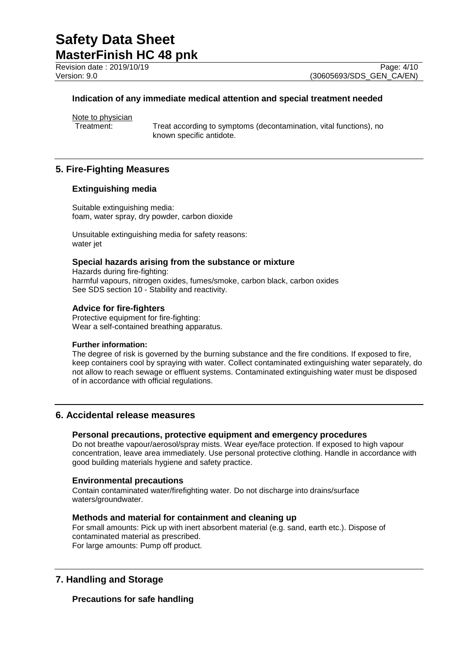Revision date : 2019/10/19<br>
Version: 9.0<br>
Version: 9.0 (30605693/SDS GEN CA/EN)

(30605693/SDS\_GEN\_CA/EN)

# **Indication of any immediate medical attention and special treatment needed**

Note to physician<br>Treatment:

Treat according to symptoms (decontamination, vital functions), no known specific antidote.

# **5. Fire-Fighting Measures**

# **Extinguishing media**

Suitable extinguishing media: foam, water spray, dry powder, carbon dioxide

Unsuitable extinguishing media for safety reasons: water jet

# **Special hazards arising from the substance or mixture**

Hazards during fire-fighting: harmful vapours, nitrogen oxides, fumes/smoke, carbon black, carbon oxides See SDS section 10 - Stability and reactivity.

### **Advice for fire-fighters**

Protective equipment for fire-fighting: Wear a self-contained breathing apparatus.

#### **Further information:**

The degree of risk is governed by the burning substance and the fire conditions. If exposed to fire, keep containers cool by spraying with water. Collect contaminated extinguishing water separately, do not allow to reach sewage or effluent systems. Contaminated extinguishing water must be disposed of in accordance with official regulations.

# **6. Accidental release measures**

# **Personal precautions, protective equipment and emergency procedures**

Do not breathe vapour/aerosol/spray mists. Wear eye/face protection. If exposed to high vapour concentration, leave area immediately. Use personal protective clothing. Handle in accordance with good building materials hygiene and safety practice.

#### **Environmental precautions**

Contain contaminated water/firefighting water. Do not discharge into drains/surface waters/groundwater.

### **Methods and material for containment and cleaning up**

For small amounts: Pick up with inert absorbent material (e.g. sand, earth etc.). Dispose of contaminated material as prescribed. For large amounts: Pump off product.

# **7. Handling and Storage**

# **Precautions for safe handling**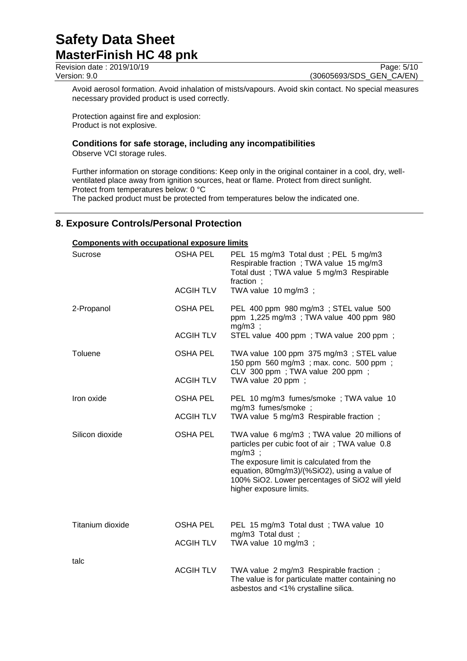Revision date : 2019/10/19<br>
Version: 9.0 **Page: 5/10**<br>
Version: 9.0 (30605693/SDS GEN CA/EN) (30605693/SDS\_GEN\_CA/EN)

Avoid aerosol formation. Avoid inhalation of mists/vapours. Avoid skin contact. No special measures necessary provided product is used correctly.

Protection against fire and explosion: Product is not explosive.

# **Conditions for safe storage, including any incompatibilities**

Observe VCI storage rules.

Further information on storage conditions: Keep only in the original container in a cool, dry, wellventilated place away from ignition sources, heat or flame. Protect from direct sunlight. Protect from temperatures below: 0 °C The packed product must be protected from temperatures below the indicated one.

# **8. Exposure Controls/Personal Protection**

# **Components with occupational exposure limits**

| Sucrose          | <b>OSHA PEL</b>  | PEL 15 mg/m3 Total dust; PEL 5 mg/m3<br>Respirable fraction; TWA value 15 mg/m3<br>Total dust ; TWA value 5 mg/m3 Respirable<br>fraction:                                                                                                                                             |  |
|------------------|------------------|---------------------------------------------------------------------------------------------------------------------------------------------------------------------------------------------------------------------------------------------------------------------------------------|--|
|                  | <b>ACGIHTLV</b>  | TWA value 10 mg/m3 ;                                                                                                                                                                                                                                                                  |  |
| 2-Propanol       | <b>OSHA PEL</b>  | PEL 400 ppm 980 mg/m3 ; STEL value 500<br>ppm 1,225 mg/m3; TWA value 400 ppm 980<br>$mg/m3$ ;                                                                                                                                                                                         |  |
|                  | <b>ACGIH TLV</b> | STEL value 400 ppm; TWA value 200 ppm;                                                                                                                                                                                                                                                |  |
| Toluene          | OSHA PEL         | TWA value 100 ppm 375 mg/m3; STEL value<br>150 ppm 560 mg/m3; max. conc. 500 ppm;<br>CLV 300 ppm; TWA value 200 ppm;                                                                                                                                                                  |  |
|                  | <b>ACGIHTLV</b>  | TWA value 20 ppm;                                                                                                                                                                                                                                                                     |  |
| Iron oxide       | <b>OSHA PEL</b>  | PEL 10 mg/m3 fumes/smoke; TWA value 10                                                                                                                                                                                                                                                |  |
|                  | <b>ACGIH TLV</b> | mg/m3 fumes/smoke ;<br>TWA value 5 mg/m3 Respirable fraction;                                                                                                                                                                                                                         |  |
| Silicon dioxide  | <b>OSHA PEL</b>  | TWA value 6 mg/m3; TWA value 20 millions of<br>particles per cubic foot of air; TWA value 0.8<br>$mg/m3$ ;<br>The exposure limit is calculated from the<br>equation, 80mg/m3)/(%SiO2), using a value of<br>100% SiO2. Lower percentages of SiO2 will yield<br>higher exposure limits. |  |
| Titanium dioxide | <b>OSHA PEL</b>  | PEL 15 mg/m3 Total dust; TWA value 10                                                                                                                                                                                                                                                 |  |
|                  | <b>ACGIH TLV</b> | mg/m3 Total dust;<br>TWA value 10 mg/m3 ;                                                                                                                                                                                                                                             |  |
| talc             |                  |                                                                                                                                                                                                                                                                                       |  |
|                  | <b>ACGIHTLV</b>  | TWA value 2 mg/m3 Respirable fraction;<br>The value is for particulate matter containing no<br>asbestos and <1% crystalline silica.                                                                                                                                                   |  |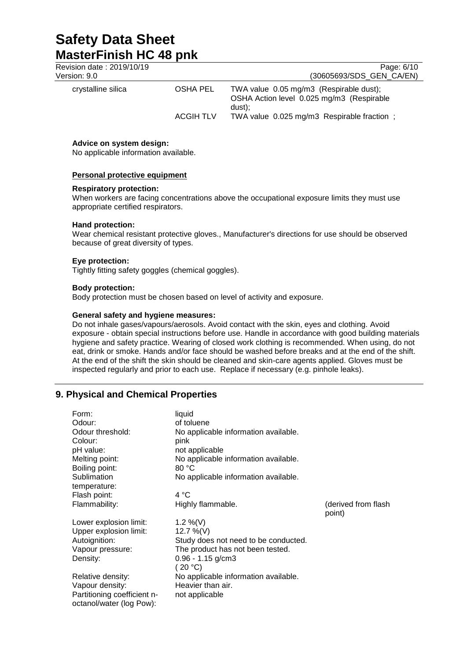# **Safety Data Sheet MasterFinish HC 48 pnk**<br>Revision date : 2019/10/19

| Revision date: 2019/10/19<br>Version: 9.0 |                  | Page: 6/10<br>(30605693/SDS GEN CA/EN)                                                         |
|-------------------------------------------|------------------|------------------------------------------------------------------------------------------------|
| crystalline silica                        | OSHA PEL         | TWA value 0.05 mg/m3 (Respirable dust);<br>OSHA Action level 0.025 mg/m3 (Respirable<br>dust): |
|                                           | <b>ACGIH TLV</b> | TWA value 0.025 mg/m3 Respirable fraction;                                                     |

### **Advice on system design:**

No applicable information available.

### **Personal protective equipment**

### **Respiratory protection:**

When workers are facing concentrations above the occupational exposure limits they must use appropriate certified respirators.

### **Hand protection:**

Wear chemical resistant protective gloves., Manufacturer's directions for use should be observed because of great diversity of types.

### **Eye protection:**

Tightly fitting safety goggles (chemical goggles).

# **Body protection:**

Body protection must be chosen based on level of activity and exposure.

# **General safety and hygiene measures:**

Do not inhale gases/vapours/aerosols. Avoid contact with the skin, eyes and clothing. Avoid exposure - obtain special instructions before use. Handle in accordance with good building materials hygiene and safety practice. Wearing of closed work clothing is recommended. When using, do not eat, drink or smoke. Hands and/or face should be washed before breaks and at the end of the shift. At the end of the shift the skin should be cleaned and skin-care agents applied. Gloves must be inspected regularly and prior to each use. Replace if necessary (e.g. pinhole leaks).

# **9. Physical and Chemical Properties**

| Form:                       | liquid                               |                     |
|-----------------------------|--------------------------------------|---------------------|
| Odour:                      | of toluene                           |                     |
| Odour threshold:            | No applicable information available. |                     |
| Colour:                     | pink                                 |                     |
| pH value:                   | not applicable                       |                     |
| Melting point:              | No applicable information available. |                     |
| Boiling point:              | 80 °C                                |                     |
| Sublimation                 | No applicable information available. |                     |
| temperature:                |                                      |                     |
| Flash point:                | 4 °C                                 |                     |
| Flammability:               | Highly flammable.                    | (derived from flash |
|                             |                                      | point)              |
| Lower explosion limit:      | 1.2 %(V)                             |                     |
| Upper explosion limit:      | 12.7 %(V)                            |                     |
| Autoignition:               | Study does not need to be conducted. |                     |
| Vapour pressure:            | The product has not been tested.     |                     |
| Density:                    | $0.96 - 1.15$ g/cm3                  |                     |
|                             | (20 °C)                              |                     |
| Relative density:           | No applicable information available. |                     |
| Vapour density:             | Heavier than air.                    |                     |
| Partitioning coefficient n- | not applicable                       |                     |
| octanol/water (log Pow):    |                                      |                     |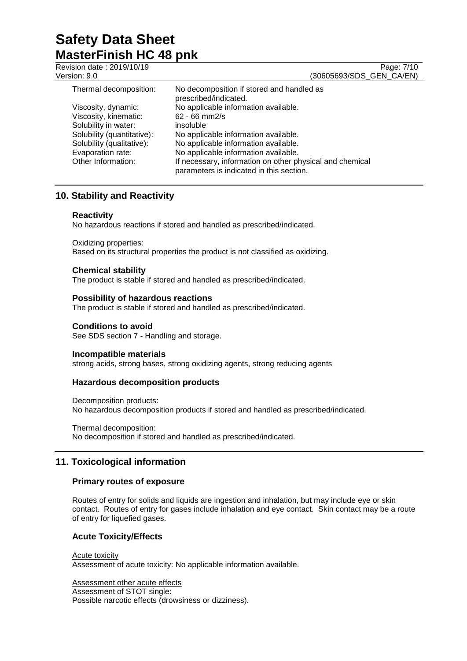Revision date : 2019/10/19<br>
Version: 9.0 **Page: 7/10**<br>
Version: 9.0 **Page: 7/10** (30605693/SDS\_GEN\_CA/EN) Thermal decomposition: No decomposition if stored and handled as prescribed/indicated. Viscosity, dynamic: No applicable information available.<br>Viscosity, kinematic: 62 - 66 mm2/s Viscosity, kinematic: Solubility in water: insoluble<br>Solubility (quantitative): No applic Solubility (quantitative): No applicable information available.<br>Solubility (qualitative): No applicable information available. No applicable information available. Evaporation rate: <br>
No applicable information available.<br>
If necessary, information on other pl If necessary, information on other physical and chemical

parameters is indicated in this section.

# **10. Stability and Reactivity**

### **Reactivity**

No hazardous reactions if stored and handled as prescribed/indicated.

Oxidizing properties: Based on its structural properties the product is not classified as oxidizing.

# **Chemical stability**

The product is stable if stored and handled as prescribed/indicated.

### **Possibility of hazardous reactions**

The product is stable if stored and handled as prescribed/indicated.

### **Conditions to avoid**

See SDS section 7 - Handling and storage.

### **Incompatible materials**

strong acids, strong bases, strong oxidizing agents, strong reducing agents

# **Hazardous decomposition products**

Decomposition products: No hazardous decomposition products if stored and handled as prescribed/indicated.

Thermal decomposition: No decomposition if stored and handled as prescribed/indicated.

# **11. Toxicological information**

### **Primary routes of exposure**

Routes of entry for solids and liquids are ingestion and inhalation, but may include eye or skin contact. Routes of entry for gases include inhalation and eye contact. Skin contact may be a route of entry for liquefied gases.

# **Acute Toxicity/Effects**

#### Acute toxicity

Assessment of acute toxicity: No applicable information available.

Assessment other acute effects

Assessment of STOT single:

Possible narcotic effects (drowsiness or dizziness).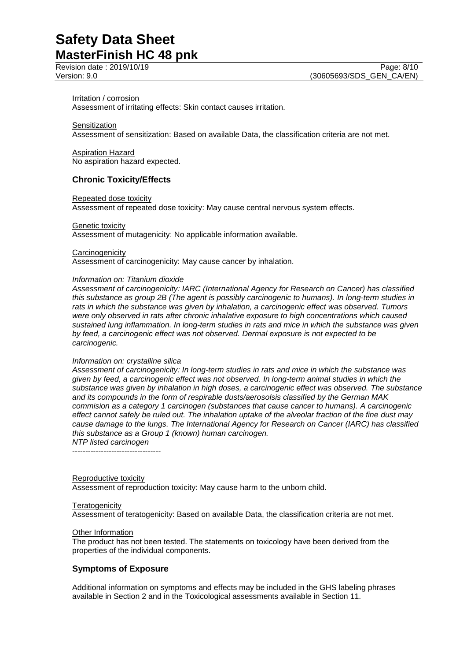#### Irritation / corrosion

Assessment of irritating effects: Skin contact causes irritation.

**Sensitization** 

Assessment of sensitization: Based on available Data, the classification criteria are not met.

Aspiration Hazard No aspiration hazard expected.

# **Chronic Toxicity/Effects**

#### Repeated dose toxicity

Assessment of repeated dose toxicity: May cause central nervous system effects.

#### **Genetic toxicity**

Assessment of mutagenicity: No applicable information available.

#### **Carcinogenicity**

Assessment of carcinogenicity: May cause cancer by inhalation.

#### *Information on: Titanium dioxide*

*Assessment of carcinogenicity: IARC (International Agency for Research on Cancer) has classified this substance as group 2B (The agent is possibly carcinogenic to humans). In long-term studies in rats in which the substance was given by inhalation, a carcinogenic effect was observed. Tumors were only observed in rats after chronic inhalative exposure to high concentrations which caused sustained lung inflammation. In long-term studies in rats and mice in which the substance was given by feed, a carcinogenic effect was not observed. Dermal exposure is not expected to be carcinogenic.*

#### *Information on: crystalline silica*

*Assessment of carcinogenicity: In long-term studies in rats and mice in which the substance was given by feed, a carcinogenic effect was not observed. In long-term animal studies in which the substance was given by inhalation in high doses, a carcinogenic effect was observed. The substance and its compounds in the form of respirable dusts/aerosolsis classified by the German MAK commision as a category 1 carcinogen (substances that cause cancer to humans). A carcinogenic effect cannot safely be ruled out. The inhalation uptake of the alveolar fraction of the fine dust may cause damage to the lungs. The International Agency for Research on Cancer (IARC) has classified this substance as a Group 1 (known) human carcinogen.*

*NTP listed carcinogen* ----------------------------------

#### Reproductive toxicity

Assessment of reproduction toxicity: May cause harm to the unborn child.

### **Teratogenicity**

Assessment of teratogenicity: Based on available Data, the classification criteria are not met.

### **Other Information**

The product has not been tested. The statements on toxicology have been derived from the properties of the individual components.

# **Symptoms of Exposure**

Additional information on symptoms and effects may be included in the GHS labeling phrases available in Section 2 and in the Toxicological assessments available in Section 11.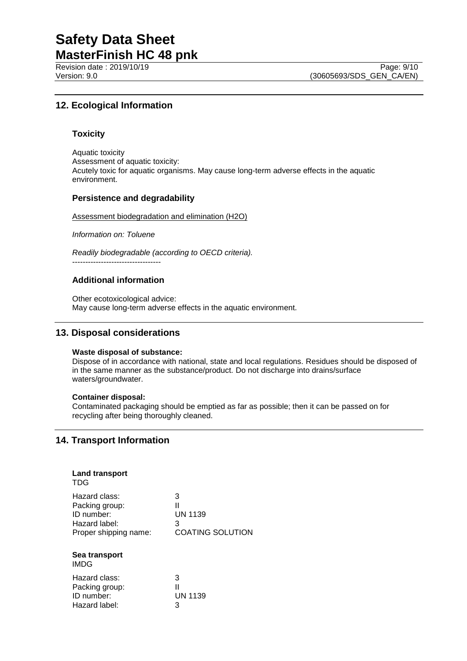Revision date : 2019/10/19<br>
Version: 9.0 **Page: 9/10**<br>
Version: 9.0 (30605693/SDS GEN CA/EN)

# **12. Ecological Information**

# **Toxicity**

Aquatic toxicity Assessment of aquatic toxicity: Acutely toxic for aquatic organisms. May cause long-term adverse effects in the aquatic environment.

# **Persistence and degradability**

Assessment biodegradation and elimination (H2O)

*Information on: Toluene*

*Readily biodegradable (according to OECD criteria).* ----------------------------------

# **Additional information**

Other ecotoxicological advice: May cause long-term adverse effects in the aquatic environment.

# **13. Disposal considerations**

### **Waste disposal of substance:**

Dispose of in accordance with national, state and local regulations. Residues should be disposed of in the same manner as the substance/product. Do not discharge into drains/surface waters/groundwater.

### **Container disposal:**

Contaminated packaging should be emptied as far as possible; then it can be passed on for recycling after being thoroughly cleaned.

# **14. Transport Information**

| <b>Land transport</b><br>TDG                                                            |                                                          |
|-----------------------------------------------------------------------------------------|----------------------------------------------------------|
| Hazard class:<br>Packing group:<br>ID number:<br>Hazard label:<br>Proper shipping name: | 3<br>Ш<br><b>UN 1139</b><br>3<br><b>COATING SOLUTION</b> |
| Sea transport<br><b>IMDG</b>                                                            |                                                          |
| Hazard class:                                                                           | າ                                                        |

| Hazard class:  | 3              |
|----------------|----------------|
| Packing group: | н              |
| ID number:     | <b>UN 1139</b> |
| Hazard label:  | 3              |